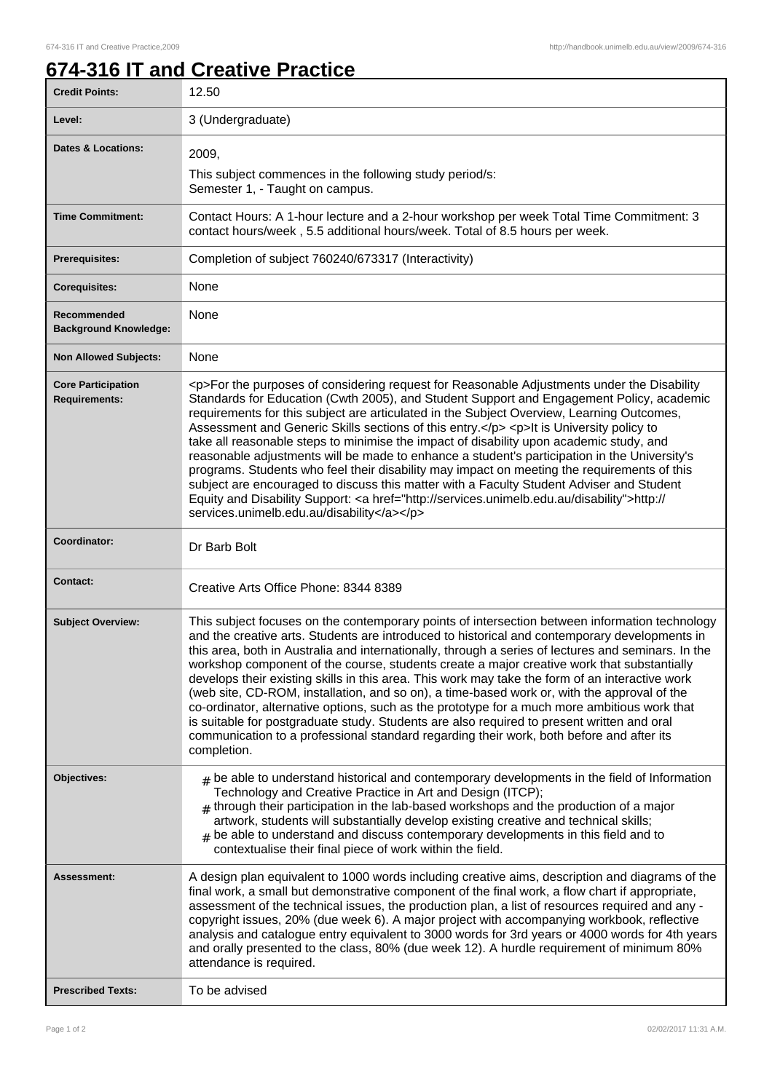## **674-316 IT and Creative Practice**

| <b>Credit Points:</b>                             | 12.50                                                                                                                                                                                                                                                                                                                                                                                                                                                                                                                                                                                                                                                                                                                                                                                                                                                                                                                        |
|---------------------------------------------------|------------------------------------------------------------------------------------------------------------------------------------------------------------------------------------------------------------------------------------------------------------------------------------------------------------------------------------------------------------------------------------------------------------------------------------------------------------------------------------------------------------------------------------------------------------------------------------------------------------------------------------------------------------------------------------------------------------------------------------------------------------------------------------------------------------------------------------------------------------------------------------------------------------------------------|
| Level:                                            | 3 (Undergraduate)                                                                                                                                                                                                                                                                                                                                                                                                                                                                                                                                                                                                                                                                                                                                                                                                                                                                                                            |
| Dates & Locations:                                | 2009,                                                                                                                                                                                                                                                                                                                                                                                                                                                                                                                                                                                                                                                                                                                                                                                                                                                                                                                        |
|                                                   | This subject commences in the following study period/s:<br>Semester 1, - Taught on campus.                                                                                                                                                                                                                                                                                                                                                                                                                                                                                                                                                                                                                                                                                                                                                                                                                                   |
| <b>Time Commitment:</b>                           | Contact Hours: A 1-hour lecture and a 2-hour workshop per week Total Time Commitment: 3<br>contact hours/week, 5.5 additional hours/week. Total of 8.5 hours per week.                                                                                                                                                                                                                                                                                                                                                                                                                                                                                                                                                                                                                                                                                                                                                       |
| <b>Prerequisites:</b>                             | Completion of subject 760240/673317 (Interactivity)                                                                                                                                                                                                                                                                                                                                                                                                                                                                                                                                                                                                                                                                                                                                                                                                                                                                          |
| <b>Corequisites:</b>                              | None                                                                                                                                                                                                                                                                                                                                                                                                                                                                                                                                                                                                                                                                                                                                                                                                                                                                                                                         |
| Recommended<br><b>Background Knowledge:</b>       | None                                                                                                                                                                                                                                                                                                                                                                                                                                                                                                                                                                                                                                                                                                                                                                                                                                                                                                                         |
| <b>Non Allowed Subjects:</b>                      | None                                                                                                                                                                                                                                                                                                                                                                                                                                                                                                                                                                                                                                                                                                                                                                                                                                                                                                                         |
| <b>Core Participation</b><br><b>Requirements:</b> | <p>For the purposes of considering request for Reasonable Adjustments under the Disability<br/>Standards for Education (Cwth 2005), and Student Support and Engagement Policy, academic<br/>requirements for this subject are articulated in the Subject Overview, Learning Outcomes,<br/>Assessment and Generic Skills sections of this entry.</p> <p>It is University policy to<br/>take all reasonable steps to minimise the impact of disability upon academic study, and<br/>reasonable adjustments will be made to enhance a student's participation in the University's<br/>programs. Students who feel their disability may impact on meeting the requirements of this<br/>subject are encouraged to discuss this matter with a Faculty Student Adviser and Student<br/>Equity and Disability Support: &lt; a href="http://services.unimelb.edu.au/disability"&gt;http://<br/>services.unimelb.edu.au/disability</p> |
| Coordinator:                                      | Dr Barb Bolt                                                                                                                                                                                                                                                                                                                                                                                                                                                                                                                                                                                                                                                                                                                                                                                                                                                                                                                 |
| <b>Contact:</b>                                   | Creative Arts Office Phone: 8344 8389                                                                                                                                                                                                                                                                                                                                                                                                                                                                                                                                                                                                                                                                                                                                                                                                                                                                                        |
| <b>Subject Overview:</b>                          | This subject focuses on the contemporary points of intersection between information technology<br>and the creative arts. Students are introduced to historical and contemporary developments in<br>this area, both in Australia and internationally, through a series of lectures and seminars. In the<br>workshop component of the course, students create a major creative work that substantially<br>develops their existing skills in this area. This work may take the form of an interactive work<br>(web site, CD-ROM, installation, and so on), a time-based work or, with the approval of the<br>co-ordinator, alternative options, such as the prototype for a much more ambitious work that<br>is suitable for postgraduate study. Students are also required to present written and oral<br>communication to a professional standard regarding their work, both before and after its<br>completion.              |
| Objectives:                                       | $#$ be able to understand historical and contemporary developments in the field of Information<br>Technology and Creative Practice in Art and Design (ITCP);<br>$#$ through their participation in the lab-based workshops and the production of a major<br>artwork, students will substantially develop existing creative and technical skills;<br>be able to understand and discuss contemporary developments in this field and to<br>#<br>contextualise their final piece of work within the field.                                                                                                                                                                                                                                                                                                                                                                                                                       |
| Assessment:                                       | A design plan equivalent to 1000 words including creative aims, description and diagrams of the<br>final work, a small but demonstrative component of the final work, a flow chart if appropriate,<br>assessment of the technical issues, the production plan, a list of resources required and any -<br>copyright issues, 20% (due week 6). A major project with accompanying workbook, reflective<br>analysis and catalogue entry equivalent to 3000 words for 3rd years or 4000 words for 4th years<br>and orally presented to the class, 80% (due week 12). A hurdle requirement of minimum 80%<br>attendance is required.                                                                                                                                                                                                                                                                                               |
| <b>Prescribed Texts:</b>                          | To be advised                                                                                                                                                                                                                                                                                                                                                                                                                                                                                                                                                                                                                                                                                                                                                                                                                                                                                                                |